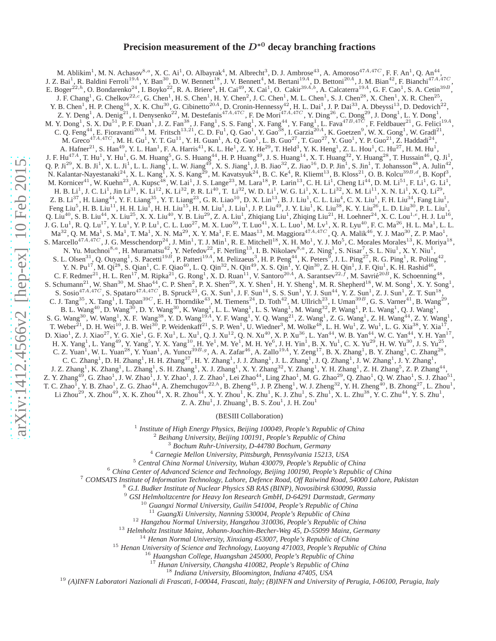# **Precision measurement of the** D<sup>∗</sup><sup>0</sup> **decay branching fractions**

M. Ablikim<sup>1</sup>, M. N. Achasov<sup>8,a</sup>, X. C. Ai<sup>1</sup>, O. Albayrak<sup>4</sup>, M. Albrecht<sup>3</sup>, D. J. Ambrose<sup>43</sup>, A. Amoroso<sup>47A,47C</sup>, F. F. An<sup>1</sup>, Q. An<sup>44</sup>, J. Z. Bai<sup>1</sup>, R. Baldini Ferroli<sup>19A</sup>, Y. Ban<sup>30</sup>, D. W. Bennett<sup>18</sup>, J. V. Be E. Boger<sup>22,h</sup>, O. Bondarenko<sup>24</sup>, I. Boyko<sup>22</sup>, R. A. Briere<sup>4</sup>, H. Cai<sup>49</sup>, X. Cai<sup>1</sup>, O. Cakir<sup>39A,b</sup>, A. Calcaterra<sup>19A</sup>, G. F. Cao<sup>1</sup>, S. A. Cetin<sup>39B</sup>, J. F. Chang<sup>1</sup>, G. Chelkov<sup>22,c</sup>, G. Chen<sup>1</sup>, H. S. Chen<sup>1</sup>, H. Y. Chen<sup>2</sup>, J. C. Chen<sup>1</sup>, M. L. Chen<sup>1</sup>, S. J. Chen<sup>28</sup>, X. Chen<sup>1</sup>, X. R. Chen<sup>25</sup>,<br>Y. B. Chen<sup>1</sup>, H. P. Cheng<sup>16</sup>, X. K. Chu<sup>30</sup>, G. Cibinetto<sup>20A</sup>, D. Cr C. Q. Feng<sup>44</sup>, E. Fioravanti<sup>20A</sup>, M. Fritsch<sup>13,21</sup>, C. D. Fu<sup>1</sup>, Q. Gao<sup>1</sup>, Y. Gao<sup>38</sup>, I. Garzia<sup>20A</sup>, K. Goetzen<sup>9</sup>, W. X. Gong<sup>1</sup>, W. Gradl<sup>21</sup>,<br>M. Gracio<sup>47</sup>, A. Hafber<sup>21</sup>, S. Hafber<sup>21</sup>, S. Hafber, Y. T. Gu<sup>1</sup>, V N. Yu. Muchnoi<sup>8,a</sup>, H. Muramatsu<sup>42</sup>, Y. Nefedov<sup>22</sup>, F. Nerling<sup>13</sup>, I. B. Nikolaev<sup>8,a</sup>, Z. Ning<sup>1</sup>, S. Nisar<sup>7</sup>, S. L. Niu<sup>1</sup>, X. Y. Niu<sup>1</sup>,<br>S. L. Olsen<sup>31</sup>, Q. Ouyang<sup>1</sup>, S. Pacetti<sup>19*B*</sup>, P. Patteri<sup>19*A*</sup>, M. Peli H. X. Yang<sup>1</sup>, L. Yang<sup>49</sup>, Y. Yang<sup>5</sup>, Y. X. Yang<sup>10</sup>, H. Ye<sup>1</sup>, M. Ye<sup>1</sup>, M. H. Ye<sup>6</sup>, J. H. Yin<sup>1</sup>, B. X. Yu<sup>1</sup>, C. X. Yu<sup>29</sup>, H. W. Yu<sup>30</sup>, J. S. Yu<sup>25</sup>, C. Z. Yuan<sup>1</sup>, W. L. Yuan<sup>28</sup>, Y. Yuan<sup>1</sup>, A. Yuncu<sup>39B, g</sup>, A. C. C. Zhang<sup>1</sup>, D. H. Zhang<sup>1</sup>, H. H. Zhang<sup>37</sup>, H. Y. Zhang<sup>1</sup>, J. J. Zhang<sup>1</sup>, J. L. Zhang<sup>1</sup>, J. Q. Zhang<sup>1</sup>, J. W. Zhang<sup>1</sup>, J. Y. Zhang<sup>1</sup>, J. Z. Zhang<sup>1</sup>, K. Zhang<sup>1</sup>, L. Zhang<sup>1</sup>, S. H. Zhang<sup>1</sup>, X. J. Zhang<sup>1</sup>, X. Y. Zhang<sup>32</sup>, Y. Zhang<sup>1</sup>, Y. H. Zhang<sup>1</sup>, Z. H. Zhang<sup>5</sup>, Z. P. Zhang<sup>44</sup>, Z. Y. Zhang<sup>49</sup>, G. Zhao<sup>1</sup>, J. W. Zhao<sup>1</sup>, J. Y. Zhao<sup>1</sup>, J. Z. Zhao<sup>1</sup>, Lei Zhao<sup>44</sup>, Ling Zhao<sup>1</sup>, M. G. Zhao<sup>29</sup>, Q. Zhao<sup>1</sup>, Q. W. Zhao<sup>1</sup>, S. J. Zhao<sup>51</sup>, T. C. Zhao<sup>1</sup>, Y. B. Zhao<sup>1</sup>, Z. G. Zhao<sup>44</sup>, A. Zhemchugov<sup>22,h</sup>, B. Zheng<sup>45</sup>, J. P. Zheng<sup>1</sup>, W. J. Zheng<sup>32</sup>, Y. H. Zheng<sup>40</sup>, B. Zhong<sup>27</sup>, L. Zhou<sup>1</sup>, Li Zhou<sup>29</sup>, X. Zhou<sup>49</sup>, X. K. Zhou<sup>44</sup>, X. R. Zhou<sup>44</sup>, X. Y. Zhou<sup>1</sup>, K. Zhu<sup>1</sup>, K. J. Zhu<sup>1</sup>, S. Zhu<sup>1</sup>, X. L. Zhu<sup>38</sup>, Y. C. Zhu<sup>44</sup>, Y. S. Zhu<sup>1</sup>, Z. A. Zhu<sup>1</sup>, J. Zhuang<sup>1</sup>, B. S. Zou<sup>1</sup>, J. H. Zou<sup>1</sup>

(BESIII Collaboration)

1 *Institute of High Energy Physics, Beijing 100049, People's Republic of China*

<sup>2</sup> *Beihang University, Beijing 100191, People's Republic of China*

<sup>3</sup> *Bochum Ruhr-University, D-44780 Bochum, Germany*

<sup>4</sup> *Carnegie Mellon University, Pittsburgh, Pennsylvania 15213, USA*

<sup>5</sup> *Central China Normal University, Wuhan 430079, People's Republic of China*

<sup>6</sup> *China Center of Advanced Science and Technology, Beijing 100190, People's Republic of China*

<sup>7</sup> *COMSATS Institute of Information Technology, Lahore, Defence Road, Off Raiwind Road, 54000 Lahore, Pakistan*

<sup>8</sup> *G.I. Budker Institute of Nuclear Physics SB RAS (BINP), Novosibirsk 630090, Russia*

<sup>9</sup> *GSI Helmholtzcentre for Heavy Ion Research GmbH, D-64291 Darmstadt, Germany*

<sup>10</sup> *Guangxi Normal University, Guilin 541004, People's Republic of China*

<sup>11</sup> *GuangXi University, Nanning 530004, People's Republic of China*

<sup>12</sup> *Hangzhou Normal University, Hangzhou 310036, People's Republic of China*

<sup>13</sup> *Helmholtz Institute Mainz, Johann-Joachim-Becher-Weg 45, D-55099 Mainz, Germany*

<sup>14</sup> *Henan Normal University, Xinxiang 453007, People's Republic of China*

<sup>15</sup> *Henan University of Science and Technology, Luoyang 471003, People's Republic of China*

<sup>16</sup> *Huangshan College, Huangshan 245000, People's Republic of China*

<sup>17</sup> *Hunan University, Changsha 410082, People's Republic of China*

<sup>18</sup> *Indiana University, Bloomington, Indiana 47405, USA*

<sup>19</sup> *(A)INFN Laboratori Nazionali di Frascati, I-00044, Frascati, Italy; (B)INFN and University of Perugia, I-06100, Perugia, Italy*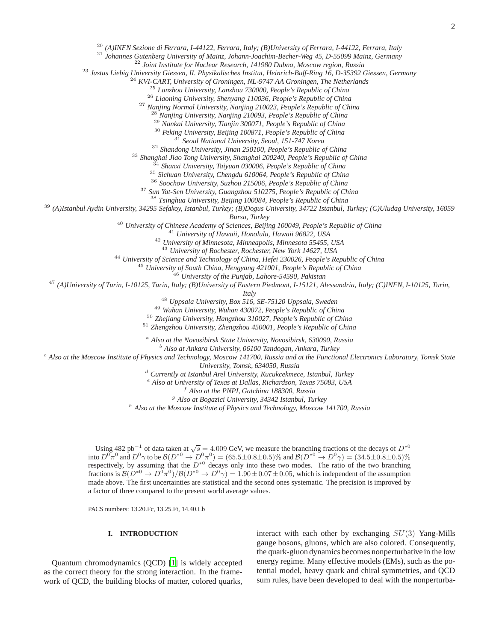<sup>20</sup> *(A)INFN Sezione di Ferrara, I-44122, Ferrara, Italy; (B)University of Ferrara, I-44122, Ferrara, Italy*

<sup>21</sup> *Johannes Gutenberg University of Mainz, Johann-Joachim-Becher-Weg 45, D-55099 Mainz, Germany*

<sup>22</sup> *Joint Institute for Nuclear Research, 141980 Dubna, Moscow region, Russia*

<sup>23</sup> *Justus Liebig University Giessen, II. Physikalisches Institut, Heinrich-Buff-Ring 16, D-35392 Giessen, Germany*

<sup>24</sup> *KVI-CART, University of Groningen, NL-9747 AA Groningen, The Netherlands*

<sup>25</sup> *Lanzhou University, Lanzhou 730000, People's Republic of China*

<sup>26</sup> *Liaoning University, Shenyang 110036, People's Republic of China*

<sup>27</sup> *Nanjing Normal University, Nanjing 210023, People's Republic of China*

<sup>28</sup> *Nanjing University, Nanjing 210093, People's Republic of China*

<sup>29</sup> *Nankai University, Tianjin 300071, People's Republic of China*

<sup>30</sup> *Peking University, Beijing 100871, People's Republic of China*

<sup>31</sup> *Seoul National University, Seoul, 151-747 Korea*

<sup>32</sup> *Shandong University, Jinan 250100, People's Republic of China*

<sup>33</sup> *Shanghai Jiao Tong University, Shanghai 200240, People's Republic of China*

<sup>34</sup> *Shanxi University, Taiyuan 030006, People's Republic of China*

<sup>35</sup> *Sichuan University, Chengdu 610064, People's Republic of China*

<sup>36</sup> *Soochow University, Suzhou 215006, People's Republic of China*

<sup>37</sup> *Sun Yat-Sen University, Guangzhou 510275, People's Republic of China*

<sup>38</sup> *Tsinghua University, Beijing 100084, People's Republic of China*

<sup>39</sup> *(A)Istanbul Aydin University, 34295 Sefakoy, Istanbul, Turkey; (B)Dogus University, 34722 Istanbul, Turkey; (C)Uludag University, 16059*

*Bursa, Turkey*

<sup>40</sup> *University of Chinese Academy of Sciences, Beijing 100049, People's Republic of China*

<sup>41</sup> *University of Hawaii, Honolulu, Hawaii 96822, USA*

<sup>42</sup> *University of Minnesota, Minneapolis, Minnesota 55455, USA*

<sup>43</sup> *University of Rochester, Rochester, New York 14627, USA*

<sup>44</sup> *University of Science and Technology of China, Hefei 230026, People's Republic of China*

<sup>45</sup> *University of South China, Hengyang 421001, People's Republic of China*

<sup>46</sup> *University of the Punjab, Lahore-54590, Pakistan*

<sup>47</sup> *(A)University of Turin, I-10125, Turin, Italy; (B)University of Eastern Piedmont, I-15121, Alessandria, Italy; (C)INFN, I-10125, Turin,*

*Italy*

<sup>48</sup> *Uppsala University, Box 516, SE-75120 Uppsala, Sweden*

<sup>49</sup> *Wuhan University, Wuhan 430072, People's Republic of China*

<sup>50</sup> *Zhejiang University, Hangzhou 310027, People's Republic of China*

<sup>51</sup> *Zhengzhou University, Zhengzhou 450001, People's Republic of China*

<sup>a</sup> *Also at the Novosibirsk State University, Novosibirsk, 630090, Russia*

<sup>b</sup> *Also at Ankara University, 06100 Tandogan, Ankara, Turkey*

<sup>c</sup> *Also at the Moscow Institute of Physics and Technology, Moscow 141700, Russia and at the Functional Electronics Laboratory, Tomsk State*

*University, Tomsk, 634050, Russia*

<sup>d</sup> *Currently at Istanbul Arel University, Kucukcekmece, Istanbul, Turkey*

<sup>e</sup> *Also at University of Texas at Dallas, Richardson, Texas 75083, USA*

<sup>f</sup> *Also at the PNPI, Gatchina 188300, Russia*

<sup>g</sup> *Also at Bogazici University, 34342 Istanbul, Turkey*

<sup>h</sup> *Also at the Moscow Institute of Physics and Technology, Moscow 141700, Russia*

Using 482 pb<sup>-1</sup> of data taken at  $\sqrt{s} = 4.009$  GeV, we measure the branching fractions of the decays of  $D^{*0}$ into  $D^0 \pi^0$  and  $D^0 \gamma$  to be  $\mathcal{B}(D^{*0} \to D^0 \pi^0) = (65.5 \pm 0.8 \pm 0.5)\%$  and  $\mathcal{B}(D^{*0} \to D^0 \gamma) = (34.5 \pm 0.8 \pm 0.5)\%$ <br>respectively, by assuming that the  $D^{*0}$  decays only into these two modes. The ratio of the two made above. The first uncertainties are statistical and the second ones systematic. The precision is improved by a factor of three compared to the present world average values.

PACS numbers: 13.20.Fc, 13.25.Ft, 14.40.Lb

# **I. INTRODUCTION**

Quantum chromodynamics (QCD) [\[1](#page-6-0)] is widely accepted as the correct theory for the strong interaction. In the framework of QCD, the building blocks of matter, colored quarks, interact with each other by exchanging  $SU(3)$  Yang-Mills gauge bosons, gluons, which are also colored. Consequently, the quark-gluon dynamics becomes nonperturbative in the low energy regime. Many effective models (EMs), such as the potential model, heavy quark and chiral symmetries, and QCD sum rules, have been developed to deal with the nonperturba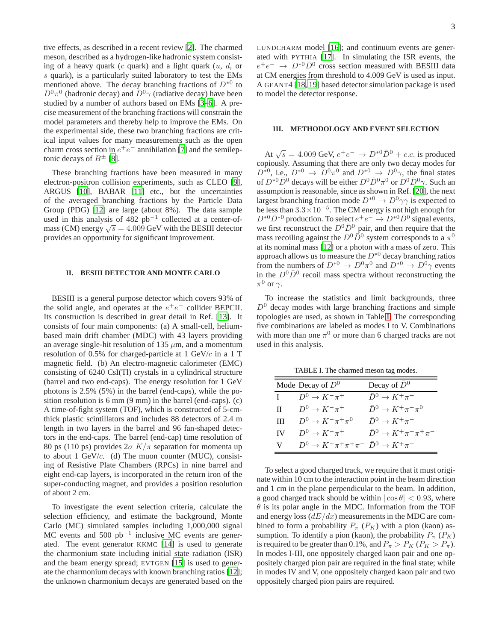tive effects, as described in a recent review [\[2](#page-6-1)]. The charmed meson, described as a hydrogen-like hadronic system consisting of a heavy quark (c quark) and a light quark  $(u, d, or)$ s quark), is a particularly suited laboratory to test the EMs mentioned above. The decay branching fractions of  $D^{*0}$  to  $D^0\pi^0$  (hadronic decay) and  $D^0\gamma$  (radiative decay) have been studied by a number of authors based on EMs [\[3](#page-6-2)[–6](#page-6-3)]. A precise measurement of the branching fractions will constrain the model parameters and thereby help to improve the EMs. On the experimental side, these two branching fractions are critical input values for many measurements such as the open charm cross section in  $e^+e^-$  annihilation [\[7\]](#page-6-4) and the semileptonic decays of  $B^{\pm}$  [\[8](#page-6-5)].

These branching fractions have been measured in many electron-positron collision experiments, such as CLEO [\[9](#page-6-6)], ARGUS [\[10\]](#page-6-7), BABAR [\[11](#page-6-8)] etc., but the uncertainties of the averaged branching fractions by the Particle Data Group (PDG) [\[12](#page-6-9)] are large (about 8%). The data sample used in this analysis of 482 pb−<sup>1</sup> collected at a center-ofmass (CM) energy  $\sqrt{s} = 4.009$  GeV with the BESIII detector provides an opportunity for significant improvement.

### **II. BESIII DETECTOR AND MONTE CARLO**

BESIII is a general purpose detector which covers 93% of the solid angle, and operates at the  $e^+e^-$  collider BEPCII. Its construction is described in great detail in Ref. [\[13](#page-6-10)]. It consists of four main components: (a) A small-cell, heliumbased main drift chamber (MDC) with 43 layers providing an average single-hit resolution of 135  $\mu$ m, and a momentum resolution of 0.5% for charged-particle at 1 GeV/ $c$  in a 1 T magnetic field. (b) An electro-magnetic calorimeter (EMC) consisting of 6240 CsI(Tl) crystals in a cylindrical structure (barrel and two end-caps). The energy resolution for 1 GeV photons is 2.5% (5%) in the barrel (end-caps), while the position resolution is 6 mm (9 mm) in the barrel (end-caps). (c) A time-of-fight system (TOF), which is constructed of 5-cmthick plastic scintillators and includes 88 detectors of 2.4 m length in two layers in the barrel and 96 fan-shaped detectors in the end-caps. The barrel (end-cap) time resolution of 80 ps (110 ps) provides  $2\sigma K/\pi$  separation for momenta up to about 1 GeV/ $c$ . (d) The muon counter (MUC), consisting of Resistive Plate Chambers (RPCs) in nine barrel and eight end-cap layers, is incorporated in the return iron of the super-conducting magnet, and provides a position resolution of about 2 cm.

To investigate the event selection criteria, calculate the selection efficiency, and estimate the background, Monte Carlo (MC) simulated samples including 1,000,000 signal MC events and 500  $pb^{-1}$  inclusive MC events are generated. The event generator KKMC [\[14](#page-6-11)] is used to generate the charmonium state including initial state radiation (ISR) and the beam energy spread; EVTGEN [\[15](#page-6-12)] is used to generate the charmonium decays with known branching ratios [\[12](#page-6-9)]; the unknown charmonium decays are generated based on the LUNDCHARM model [\[16](#page-6-13)]; and continuum events are generated with PYTHIA [\[17](#page-6-14)]. In simulating the ISR events, the  $e^+e^- \rightarrow D^{*0}\bar{D}^0$  cross section measured with BESIII data at CM energies from threshold to 4.009 GeV is used as input. A GEANT4 [\[18,](#page-6-15) [19](#page-6-16)] based detector simulation package is used to model the detector response.

### **III. METHODOLOGY AND EVENT SELECTION**

At  $\sqrt{s} = 4.009$  GeV,  $e^+e^- \rightarrow D^{*0}\bar{D}^0 + c.c.$  is produced copiously. Assuming that there are only two decay modes for  $D^{*0}$ , i.e.,  $D^{*0} \rightarrow D^0 \pi^0$  and  $D^{*0} \rightarrow D^0 \gamma$ , the final states of  $D^{*0} \bar{D}^0$  decays will be either  $D^0 \bar{D}^0 \pi^0$  or  $D^0 \bar{D}^0 \gamma$ . Such an assumption is reasonable, since as shown in Ref. [\[20\]](#page-6-17), the next largest branching fraction mode  $D^{*0} \to D^0 \gamma \gamma$  is expected to be less than  $3.3 \times 10^{-5}$ . The CM energy is not high enough for  $D^{*0} \bar{D}^{*0}$  production. To select  $e^+e^- \to D^{*0} \bar{D}^0$  signal events, we first reconstruct the  $D^0\bar{D}^0$  pair, and then require that the mass recoiling against the  $D^0 \bar{D}^0$  system corresponds to a  $\pi^0$ at its nominal mass [\[12\]](#page-6-9) or a photon with a mass of zero. This approach allows us to measure the  $D^{*0}$  decay branching ratios from the numbers of  $D^{*0} \to D^0 \pi^0$  and  $D^{*0} \to D^0 \gamma$  events in the  $D^0\bar{D}^0$  recoil mass spectra without reconstructing the  $\pi^0$  or  $\gamma$ .

To increase the statistics and limit backgrounds, three  $D<sup>0</sup>$  decay modes with large branching fractions and simple topologies are used, as shown in Table [I.](#page-2-0) The corresponding five combinations are labeled as modes I to V. Combinations with more than one  $\pi^0$  or more than 6 charged tracks are not used in this analysis.

<span id="page-2-0"></span>TABLE I. The charmed meson tag modes.

|              | Mode Decay of $D^0$                                     | Decay of $\bar{D}^0$                       |  |  |  |  |
|--------------|---------------------------------------------------------|--------------------------------------------|--|--|--|--|
| $\mathbf{I}$ | $D^0 \rightarrow K^- \pi^+$                             | $\bar{D}^0 \rightarrow K^+\pi^-$           |  |  |  |  |
| $\mathbf{H}$ | $D^0 \rightarrow K^- \pi^+$                             | $\bar{D}^0 \rightarrow K^+\pi^-\pi^0$      |  |  |  |  |
| Ш            | $D^0 \rightarrow K^- \pi^+ \pi^0$                       | $\bar{D}^0 \rightarrow K^+\pi^-$           |  |  |  |  |
| IV -         | $D^0 \rightarrow K^- \pi^+$                             | $\bar{D}^0 \rightarrow K^+\pi^-\pi^+\pi^-$ |  |  |  |  |
| V —          | $D^0 \to K^- \pi^+ \pi^+ \pi^- \bar{D}^0 \to K^+ \pi^-$ |                                            |  |  |  |  |

To select a good charged track, we require that it must originate within 10 cm to the interaction point in the beam direction and 1 cm in the plane perpendicular to the beam. In addition, a good charged track should be within  $|\cos \theta| < 0.93$ , where  $\theta$  is its polar angle in the MDC. Information from the TOF and energy loss  $\left(\frac{dE}{dx}\right)$  measurements in the MDC are combined to form a probability  $P_{\pi}$  ( $P_K$ ) with a pion (kaon) assumption. To identify a pion (kaon), the probability  $P_{\pi}$  ( $P_{K}$ ) is required to be greater than 0.1%, and  $P_\pi > P_K (P_K > P_\pi)$ . In modes I-III, one oppositely charged kaon pair and one oppositely charged pion pair are required in the final state; while in modes IV and V, one oppositely charged kaon pair and two oppositely charged pion pairs are required.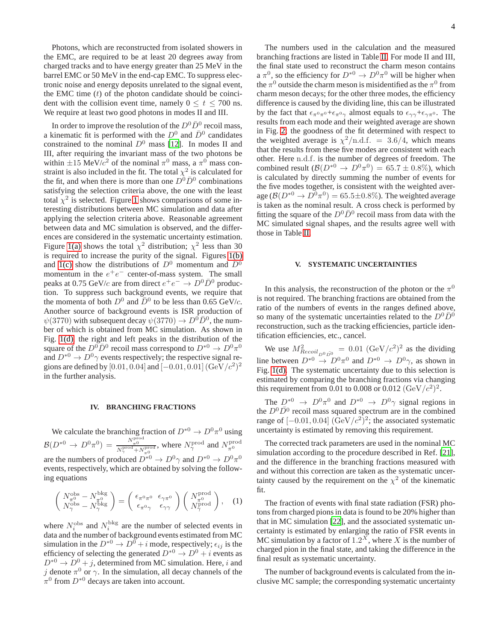Photons, which are reconstructed from isolated showers in the EMC, are required to be at least 20 degrees away from charged tracks and to have energy greater than 25 MeV in the barrel EMC or 50 MeV in the end-cap EMC. To suppress electronic noise and energy deposits unrelated to the signal event, the EMC time  $(t)$  of the photon candidate should be coincident with the collision event time, namely  $0 \le t \le 700$  ns. We require at least two good photons in modes II and III.

In order to improve the resolution of the  $D^0\bar{D}^0$  recoil mass, a kinematic fit is performed with the  $D^0$  and  $\bar{D}^0$  candidates constrained to the nominal  $D^0$  mass [\[12\]](#page-6-9). In modes II and III, after requiring the invariant mass of the two photons be within  $\pm 15 \text{ MeV}/c^2$  of the nominal  $\pi^0$  mass, a  $\pi^0$  mass constraint is also included in the fit. The total  $\chi^2$  is calculated for the fit, and when there is more than one  $\dot{D}^0 \bar{D}^0$  combinations satisfying the selection criteria above, the one with the least total  $\chi^2$  is selected. Figure [1](#page-4-0) shows comparisons of some interesting distributions between MC simulation and data after applying the selection criteria above. Reasonable agreement between data and MC simulation is observed, and the differences are considered in the systematic uncertainty estimation. Figure [1\(a\)](#page-4-1) shows the total  $\chi^2$  distribution;  $\chi^2$  less than 30 is required to increase the purity of the signal. Figures [1\(b\)](#page-4-2) and [1\(c\)](#page-4-3) show the distributions of  $D^0$  momentum and  $D^0$ momentum in the  $e^+e^-$  center-of-mass system. The small peaks at 0.75 GeV/c are from direct  $e^+e^- \to D^0 \bar{D}^0$  production. To suppress such background events, we require that the momenta of both  $D^0$  and  $\overline{D}{}^0$  to be less than 0.65 GeV/c. Another source of background events is ISR production of  $\psi(3770)$  with subsequent decay  $\psi(3770) \to D^0 \bar{D}^0$ , the number of which is obtained from MC simulation. As shown in Fig. [1\(d\),](#page-4-4) the right and left peaks in the distribution of the square of the  $D^0\overline{D}^0$  recoil mass correspond to  $D^{*0} \to D^0\pi^0$ and  $D^{*0} \to D^0 \gamma$  events respectively; the respective signal regions are defined by [0.01, 0.04] and  $[-0.01, 0.01]$   $({\rm GeV}/c^2)^2$ in the further analysis.

#### **IV. BRANCHING FRACTIONS**

We calculate the branching fraction of  $D^{*0} \to D^0 \pi^0$  using  $\mathcal{B}(D^{*0}\to D^0\pi^0)=\frac{N_{\pi^0}^{\rm prod}}{N_{\pi}^{\rm prod}+N}$  $\frac{N_{\pi^0}^*}{N_{\pi^0}^{\text{prod}}}$ , where  $N_{\gamma}^{\text{prod}}$  and  $N_{\pi^0}^{\text{prod}}$ are the numbers of produced  $\overline{D}^{*0} \to D^0 \gamma$  and  $D^{*0} \to D^0 \pi^0$ events, respectively, which are obtained by solving the following equations

$$
\begin{pmatrix}\nN_{\pi_0}^{\text{obs}} - N_{\pi_0}^{\text{bkg}} \\
N_{\gamma}^{\text{obs}} - N_{\gamma}^{\text{bkg}}\n\end{pmatrix} = \begin{pmatrix}\n\epsilon_{\pi_0 \pi_0} & \epsilon_{\gamma \pi_0} \\
\epsilon_{\pi_0 \gamma} & \epsilon_{\gamma \gamma}\n\end{pmatrix} \begin{pmatrix}\nN_{\pi_0}^{\text{prod}} \\
N_{\gamma}^{\text{prod}}\n\end{pmatrix}, \quad (1)
$$

where  $N_i^{\text{obs}}$  and  $N_i^{\text{bkg}}$  are the number of selected events in data and the number of background events estimated from MC simulation in the  $D^{*0} \to D^0 + i$  mode, respectively;  $\epsilon_{ij}$  is the efficiency of selecting the generated  $D^{*0} \to D^0 + i$  events as  $D^{*0} \rightarrow D^0 + j$ , determined from MC simulation. Here, i and j denote  $\pi^0$  or  $\gamma$ . In the simulation, all decay channels of the  $\pi^0$  from  $D^{*0}$  decays are taken into account.

The numbers used in the calculation and the measured branching fractions are listed in Table [II.](#page-4-5) For mode II and III, the final state used to reconstruct the charm meson contains a  $\pi^0$ , so the efficiency for  $D^{*0} \to D^0 \pi^0$  will be higher when the  $\pi^0$  outside the charm meson is misidentified as the  $\pi^0$  from charm meson decays; for the other three modes, the efficiency difference is caused by the dividing line, this can be illustrated by the fact that  $\epsilon_{\pi^0 \pi^0} + \epsilon_{\pi^0 \gamma}$  almost equals to  $\epsilon_{\gamma \gamma} + \epsilon_{\gamma \pi^0}$ . The results from each mode and their weighted average are shown in Fig. [2;](#page-5-0) the goodness of the fit determined with respect to the weighted average is  $\chi^2/\text{n.d.f.} = 3.6/4$ , which means that the results from these five modes are consistent with each other. Here n.d.f. is the number of degrees of freedom. The combined result  $(\mathcal{B}(D^{\ast 0} \to D^0 \pi^0) = 65.7 \pm 0.8\%)$ , which is calculated by directly summing the number of events for the five modes together, is consistent with the weighted average  $(\mathcal{B}(D^{*0} \to D^0 \pi^0) = 65.5 \pm 0.8\%)$ . The weighted average is taken as the nominal result. A cross check is performed by fitting the square of the  $D^0\bar{D}^0$  recoil mass from data with the MC simulated signal shapes, and the results agree well with those in Table [II.](#page-4-5)

### **V. SYSTEMATIC UNCERTAINTIES**

In this analysis, the reconstruction of the photon or the  $\pi^0$ is not required. The branching fractions are obtained from the ratio of the numbers of events in the ranges defined above, so many of the systematic uncertainties related to the  $D^0\bar{D}^0$ reconstruction, such as the tracking efficiencies, particle identification efficiencies, etc., cancel.

We use  $M_{Recoil_{D^0\bar{D}^0}}^2 = 0.01 \ (\text{GeV}/c^2)^2$  as the dividing line between  $D^{*0} \to D^0 \pi^0$  and  $D^{*0} \to D^0 \gamma$ , as shown in Fig. [1\(d\).](#page-4-4) The systematic uncertainty due to this selection is estimated by comparing the branching fractions via changing this requirement from 0.01 to 0.008 or 0.012  $(\text{GeV}/c^2)^2$ .

The  $D^{*0} \to D^0 \pi^0$  and  $D^{*0} \to D^0 \gamma$  signal regions in the  $D^0\overline{D}{}^0$  recoil mass squared spectrum are in the combined range of  $[-0.01, 0.04]$   $(\text{GeV}/c^2)^2$ ; the associated systematic uncertainty is estimated by removing this requirement.

The corrected track parameters are used in the nominal MC simulation according to the procedure described in Ref. [\[21](#page-6-18)], and the difference in the branching fractions measured with and without this correction are taken as the systematic uncertainty caused by the requirement on the  $\chi^2$  of the kinematic fit.

The fraction of events with final state radiation (FSR) photons from charged pions in data is found to be 20% higher than that in MC simulation [\[22\]](#page-6-19), and the associated systematic uncertainty is estimated by enlarging the ratio of FSR events in MC simulation by a factor of  $1.2<sup>X</sup>$ , where X is the number of charged pion in the final state, and taking the difference in the final result as systematic uncertainty.

The number of background events is calculated from the inclusive MC sample; the corresponding systematic uncertainty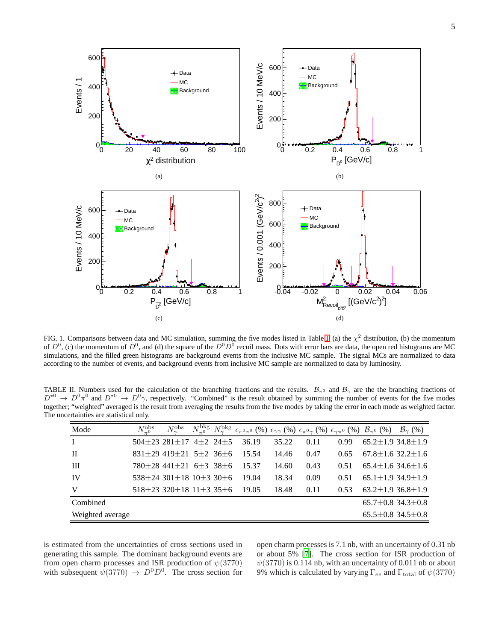<span id="page-4-2"></span><span id="page-4-1"></span>

<span id="page-4-4"></span><span id="page-4-3"></span><span id="page-4-0"></span>FIG. 1. Comparisons between data and MC simulation, summing the five modes listed in Table [I:](#page-2-0) (a) the  $\chi^2$  distribution, (b) the momentum of  $D^0$ , (c) the momentum of  $\bar{D}^0$ , and (d) the square of the  $D^0\bar{D}^0$  recoil mass. Dots with error bars are data, the open red histograms are MC simulations, and the filled green histograms are background events from the inclusive MC sample. The signal MCs are normalized to data according to the number of events, and background events from inclusive MC sample are normalized to data by luminosity.

TABLE II. Numbers used for the calculation of the branching fractions and the results.  $B_{\pi^0}$  and  $B_{\gamma}$  are the the branching fractions of  $D^{*0} \to D^0 \pi^0$  and  $D^{*0} \to D^0 \gamma$ , respectively. "Combined" is the result obtained by summing the number of events for the five modes together; "weighted" averaged is the result from averaging the results from the five modes by taking the error in each mode as weighted factor. The uncertainties are statistical only.

<span id="page-4-5"></span>

| Mode                                              | $N_{-0}^{\rm obs}$ | $N_\gamma^{\rm obs}$                       | $N_{\pi0}^{\rm bkg}$ |  | $N_\gamma^\mathrm{bkg}~\epsilon_{\pi^0\pi^0} \; (\%)~\epsilon_{\gamma\gamma} \; (\%)~\epsilon_{\pi^0\gamma} \; (\%)~\epsilon_{\gamma\pi^0} \; (\%)~\mathcal{B}_{\pi^0} \; (\%)~\mathcal{B}_{\gamma} \; (\%)$ |       |      |      |  |                               |
|---------------------------------------------------|--------------------|--------------------------------------------|----------------------|--|--------------------------------------------------------------------------------------------------------------------------------------------------------------------------------------------------------------|-------|------|------|--|-------------------------------|
|                                                   |                    | $504+23$ $281+17$ $4+2$ $24+5$             |                      |  | 36.19                                                                                                                                                                                                        | 35.22 | 0.11 | 0.99 |  | $65.2 \pm 1.934.8 \pm 1.9$    |
| $\mathbf{H}$                                      |                    | $831\pm29$ 419 $\pm21$ 5 $\pm2$ 36 $\pm6$  |                      |  | 15.54                                                                                                                                                                                                        | 14.46 | 0.47 | 0.65 |  | $67.8 \pm 1.6$ 32.2 $\pm 1.6$ |
| III                                               |                    | $780+28$ 441+21 6+3 38+6                   |                      |  | 15.37                                                                                                                                                                                                        | 14.60 | 0.43 | 0.51 |  | $65.4 \pm 1.634.6 \pm 1.6$    |
| IV                                                |                    | $538 + 24$ 301 + 18 10 + 3 30 + 6          |                      |  | 19.04                                                                                                                                                                                                        | 18.34 | 0.09 | 0.51 |  | $65.1 \pm 1.934.9 \pm 1.9$    |
| V                                                 |                    | $518\pm23$ 320 $\pm18$ 11 $\pm3$ 35 $\pm6$ |                      |  | 19.05                                                                                                                                                                                                        | 18.48 | 0.11 | 0.53 |  | $63.2 \pm 1.9$ 36.8 $\pm 1.9$ |
| Combined                                          |                    |                                            |                      |  |                                                                                                                                                                                                              |       |      |      |  | $65.7 \pm 0.8$ 34.3 $\pm 0.8$ |
| Weighted average<br>$65.5 \pm 0.8$ 34.5 $\pm$ 0.8 |                    |                                            |                      |  |                                                                                                                                                                                                              |       |      |      |  |                               |

is estimated from the uncertainties of cross sections used in generating this sample. The dominant background events are from open charm processes and ISR production of  $\psi(3770)$ with subsequent  $\psi(3770) \to D^0 \overline{D}^0$ . The cross section for

open charm processes is 7.1 nb, with an uncertainty of 0.31 nb or about 5% [\[7](#page-6-4)]. The cross section for ISR production of  $\psi(3770)$  is 0.114 nb, with an uncertainty of 0.011 nb or about 9% which is calculated by varying  $\Gamma_{ee}$  and  $\Gamma_{\text{total}}$  of  $\psi(3770)$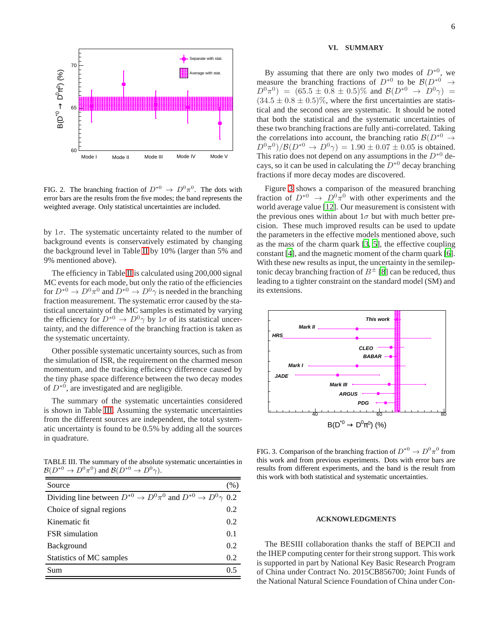

<span id="page-5-0"></span>FIG. 2. The branching fraction of  $D^{*0} \to D^0 \pi^0$ . The dots with error bars are the results from the five modes; the band represents the weighted average. Only statistical uncertainties are included.

by  $1\sigma$ . The systematic uncertainty related to the number of background events is conservatively estimated by changing the background level in Table [II](#page-4-5) by 10% (larger than 5% and 9% mentioned above).

The efficiency in Table [II](#page-4-5) is calculated using 200,000 signal MC events for each mode, but only the ratio of the efficiencies for  $D^{*0} \to D^0 \pi^0$  and  $D^{*0} \to D^0 \gamma$  is needed in the branching fraction measurement. The systematic error caused by the statistical uncertainty of the MC samples is estimated by varying the efficiency for  $D^{*0} \to D^0 \gamma$  by  $1\sigma$  of its statistical uncertainty, and the difference of the branching fraction is taken as the systematic uncertainty.

Other possible systematic uncertainty sources, such as from the simulation of ISR, the requirement on the charmed meson momentum, and the tracking efficiency difference caused by the tiny phase space difference between the two decay modes of  $D^{*0}$ , are investigated and are negligible.

The summary of the systematic uncertainties considered is shown in Table [III.](#page-5-1) Assuming the systematic uncertainties from the different sources are independent, the total systematic uncertainty is found to be 0.5% by adding all the sources in quadrature.

TABLE III. The summary of the absolute systematic uncertainties in  $\mathcal{B}(D^{*0} \to D^0 \pi^0)$  and  $\mathcal{B}(D^{*0} \to D^0 \gamma)$ .

<span id="page-5-1"></span>

| Source                                                                       | (% ) |
|------------------------------------------------------------------------------|------|
| Dividing line between $D^{*0} \to D^0 \pi^0$ and $D^{*0} \to D^0 \gamma$ 0.2 |      |
| Choice of signal regions                                                     | 0.2  |
| Kinematic fit.                                                               | 0.2  |
| <b>FSR</b> simulation                                                        | 0.1  |
| Background                                                                   | 0.2  |
| Statistics of MC samples                                                     | 0.2  |
| Sum                                                                          | 0 5  |

### **VI. SUMMARY**

By assuming that there are only two modes of  $D^{*0}$ , we measure the branching fractions of  $D^{*0}$  to be  $\mathcal{B}(D^{*0} \to \mathbb{R}^6)$  $D^0\pi^0$  =  $(65.5 \pm 0.8 \pm 0.5)\%$  and  $\mathcal{B}(D^{*0} \to D^0\gamma)$  =  $(34.5 \pm 0.8 \pm 0.5)\%$ , where the first uncertainties are statistical and the second ones are systematic. It should be noted that both the statistical and the systematic uncertainties of these two branching fractions are fully anti-correlated. Taking the correlations into account, the branching ratio  $\mathcal{B}(D^{*0} \rightarrow$  $D^0 \pi^0 / B(D^{*0} \to D^0 \gamma) = 1.90 \pm 0.07 \pm 0.05$  is obtained. This ratio does not depend on any assumptions in the  $D^{*0}$  decays, so it can be used in calculating the  $\bar{D}^{*0}$  decay branching fractions if more decay modes are discovered.

Figure [3](#page-5-2) shows a comparison of the measured branching fraction of  $D^{*0} \to D^0 \pi^0$  with other experiments and the world average value [\[12\]](#page-6-9). Our measurement is consistent with the previous ones within about  $1\sigma$  but with much better precision. These much improved results can be used to update the parameters in the effective models mentioned above, such as the mass of the charm quark [\[3](#page-6-2), [5\]](#page-6-20), the effective coupling constant [\[4\]](#page-6-21), and the magnetic moment of the charm quark [\[6](#page-6-3)]. With these new results as input, the uncertainty in the semileptonic decay branching fraction of  $B^{\pm}$  [\[8\]](#page-6-5) can be reduced, thus leading to a tighter constraint on the standard model (SM) and its extensions.



<span id="page-5-2"></span>FIG. 3. Comparison of the branching fraction of  $D^{*0} \to D^0 \pi^0$  from this work and from previous experiments. Dots with error bars are results from different experiments, and the band is the result from this work with both statistical and systematic uncertainties.

## **ACKNOWLEDGMENTS**

The BESIII collaboration thanks the staff of BEPCII and the IHEP computing center for their strong support. This work is supported in part by National Key Basic Research Program of China under Contract No. 2015CB856700; Joint Funds of the National Natural Science Foundation of China under Con